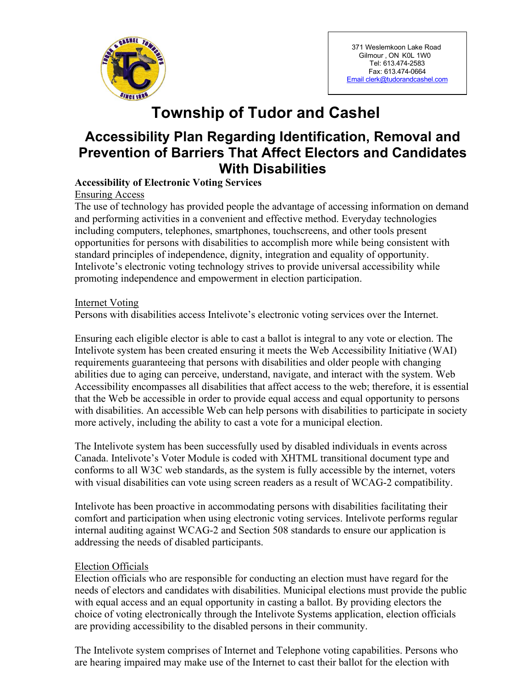

371 Weslemkoon Lake Road Gilmour , ON K0L 1W0 Tel: 613.474-2583 Fax: 613.474-0664 [Email clerk@tudorandcashel.com](mailto:Email%20clerk@tudorandcashel.com)

# **Township of Tudor and Cashel**

## **Accessibility Plan Regarding Identification, Removal and Prevention of Barriers That Affect Electors and Candidates With Disabilities**

## **Accessibility of Electronic Voting Services**

Ensuring Access

The use of technology has provided people the advantage of accessing information on demand and performing activities in a convenient and effective method. Everyday technologies including computers, telephones, smartphones, touchscreens, and other tools present opportunities for persons with disabilities to accomplish more while being consistent with standard principles of independence, dignity, integration and equality of opportunity. Intelivote's electronic voting technology strives to provide universal accessibility while promoting independence and empowerment in election participation.

Internet Voting Persons with disabilities access Intelivote's electronic voting services over the Internet.

Ensuring each eligible elector is able to cast a ballot is integral to any vote or election. The Intelivote system has been created ensuring it meets the Web Accessibility Initiative (WAI) requirements guaranteeing that persons with disabilities and older people with changing abilities due to aging can perceive, understand, navigate, and interact with the system. Web Accessibility encompasses all disabilities that affect access to the web; therefore, it is essential that the Web be accessible in order to provide equal access and equal opportunity to persons with disabilities. An accessible Web can help persons with disabilities to participate in society more actively, including the ability to cast a vote for a municipal election.

The Intelivote system has been successfully used by disabled individuals in events across Canada. Intelivote's Voter Module is coded with XHTML transitional document type and conforms to all W3C web standards, as the system is fully accessible by the internet, voters with visual disabilities can vote using screen readers as a result of WCAG-2 compatibility.

Intelivote has been proactive in accommodating persons with disabilities facilitating their comfort and participation when using electronic voting services. Intelivote performs regular internal auditing against WCAG-2 and Section 508 standards to ensure our application is addressing the needs of disabled participants.

## Election Officials

Election officials who are responsible for conducting an election must have regard for the needs of electors and candidates with disabilities. Municipal elections must provide the public with equal access and an equal opportunity in casting a ballot. By providing electors the choice of voting electronically through the Intelivote Systems application, election officials are providing accessibility to the disabled persons in their community.

The Intelivote system comprises of Internet and Telephone voting capabilities. Persons who are hearing impaired may make use of the Internet to cast their ballot for the election with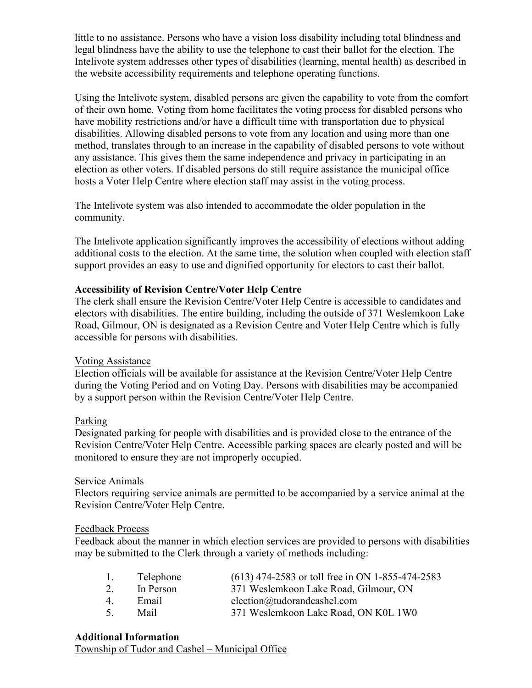little to no assistance. Persons who have a vision loss disability including total blindness and legal blindness have the ability to use the telephone to cast their ballot for the election. The Intelivote system addresses other types of disabilities (learning, mental health) as described in the website accessibility requirements and telephone operating functions.

Using the Intelivote system, disabled persons are given the capability to vote from the comfort of their own home. Voting from home facilitates the voting process for disabled persons who have mobility restrictions and/or have a difficult time with transportation due to physical disabilities. Allowing disabled persons to vote from any location and using more than one method, translates through to an increase in the capability of disabled persons to vote without any assistance. This gives them the same independence and privacy in participating in an election as other voters. If disabled persons do still require assistance the municipal office hosts a Voter Help Centre where election staff may assist in the voting process.

The Intelivote system was also intended to accommodate the older population in the community.

The Intelivote application significantly improves the accessibility of elections without adding additional costs to the election. At the same time, the solution when coupled with election staff support provides an easy to use and dignified opportunity for electors to cast their ballot.

#### **Accessibility of Revision Centre/Voter Help Centre**

The clerk shall ensure the Revision Centre/Voter Help Centre is accessible to candidates and electors with disabilities. The entire building, including the outside of 371 Weslemkoon Lake Road, Gilmour, ON is designated as a Revision Centre and Voter Help Centre which is fully accessible for persons with disabilities.

## Voting Assistance

Election officials will be available for assistance at the Revision Centre/Voter Help Centre during the Voting Period and on Voting Day. Persons with disabilities may be accompanied by a support person within the Revision Centre/Voter Help Centre.

#### Parking

Designated parking for people with disabilities and is provided close to the entrance of the Revision Centre/Voter Help Centre. Accessible parking spaces are clearly posted and will be monitored to ensure they are not improperly occupied.

#### Service Animals

Electors requiring service animals are permitted to be accompanied by a service animal at the Revision Centre/Voter Help Centre.

#### Feedback Process

Feedback about the manner in which election services are provided to persons with disabilities may be submitted to the Clerk through a variety of methods including:

| 1. | Telephone | (613) 474-2583 or toll free in ON 1-855-474-2583 |
|----|-----------|--------------------------------------------------|
| 2. | In Person | 371 Weslemkoon Lake Road, Gilmour, ON            |
| 4  | Email     | election@tudorandcashel.com                      |
| 5. | Mail      | 371 Weslemkoon Lake Road, ON K0L 1W0             |

## **Additional Information**

Township of Tudor and Cashel – Municipal Office